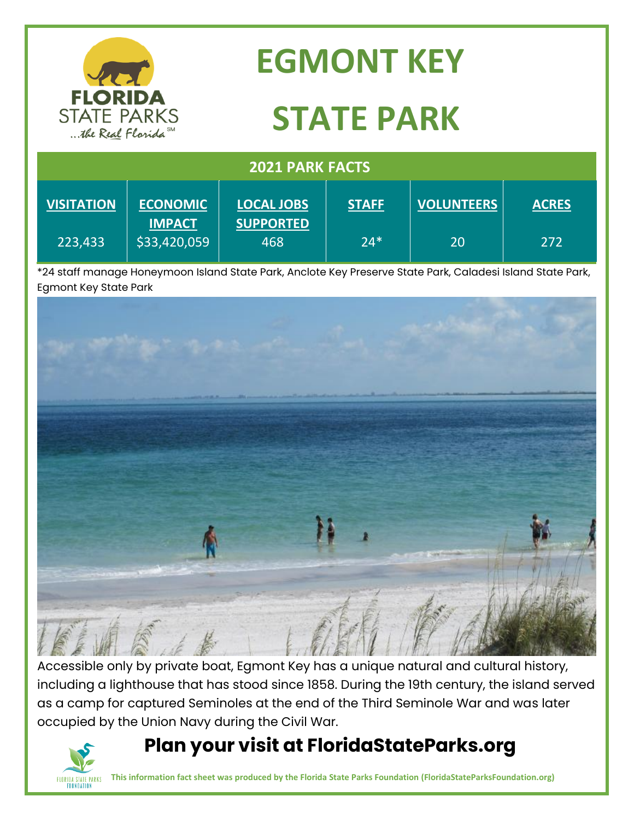| <b>FLORIDA</b><br><b>STATE PARKS</b><br>the Real Florida SM |                                  | <b>EGMONT KEY</b>                                                                                                    |              |                   |              |
|-------------------------------------------------------------|----------------------------------|----------------------------------------------------------------------------------------------------------------------|--------------|-------------------|--------------|
|                                                             |                                  | <b>STATE PARK</b>                                                                                                    |              |                   |              |
| <b>2021 PARK FACTS</b>                                      |                                  |                                                                                                                      |              |                   |              |
| <b>VISITATION</b>                                           | <b>ECONOMIC</b><br><b>IMPACT</b> | <b>LOCAL JOBS</b><br><b>SUPPORTED</b>                                                                                | <b>STAFF</b> | <b>VOLUNTEERS</b> | <b>ACRES</b> |
| 223,433                                                     | \$33,420,059                     | 468<br>1/1 staff manage Honeymoon Island State Dark, Anclote Key Presenye State Dark, Caladesi Island State Dark *2. | $24*$        | 20                | 272          |

isiana state Park, Ancl Egmont Key State Park



Accessible only by private boat, Egmont Key has a unique natural and cultural history, including a lighthouse that has stood since 1858. During the 19th century, the island served as a camp for captured Seminoles at the end of the Third Seminole War and was later occupied by the Union Navy during the Civil War.

## **Plan your visit at FloridaStateParks.org**



**This information fact sheet was produced by the Florida State Parks Foundation (FloridaStateParksFoundation.org)**